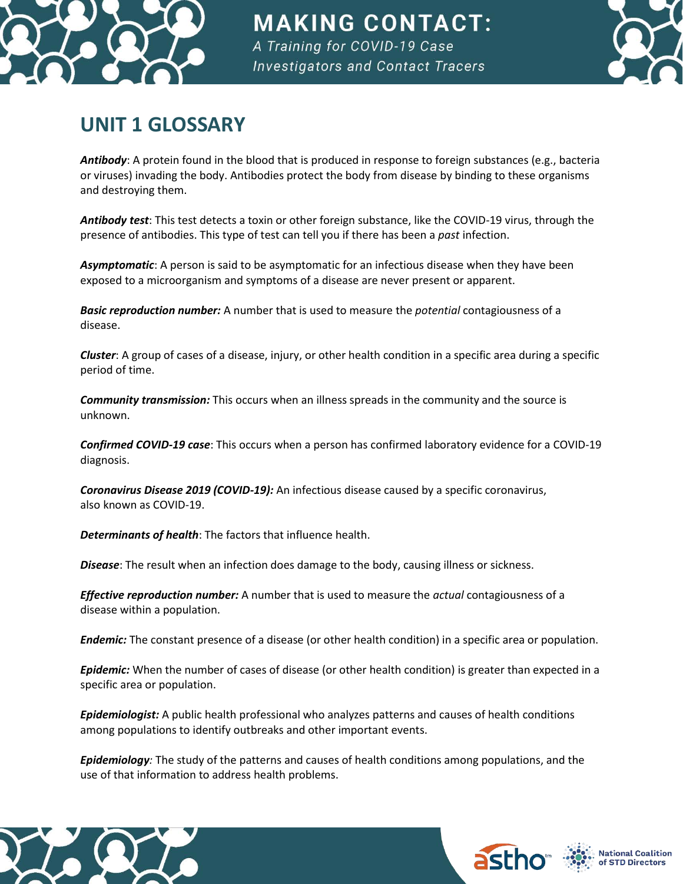

**MAKING CONTACT:** A Training for COVID-19 Case **Investigators and Contact Tracers** 



## **UNIT 1 GLOSSARY**

*Antibody*: A protein found in the blood that is produced in response to foreign substances (e.g., bacteria or viruses) invading the body. Antibodies protect the body from disease by binding to these organisms and destroying them.

*Antibody test*: This test detects a toxin or other foreign substance, like the COVID-19 virus, through the presence of antibodies. This type of test can tell you if there has been a *past* infection.

*Asymptomatic*: A person is said to be asymptomatic for an infectious disease when they have been exposed to a microorganism and symptoms of a disease are never present or apparent.

*Basic reproduction number:* A number that is used to measure the *potential* contagiousness of a disease.

*Cluster*: A group of cases of a disease, injury, or other health condition in a specific area during a specific period of time.

*Community transmission:* This occurs when an illness spreads in the community and the source is unknown.

*Confirmed COVID-19 case*: This occurs when a person has confirmed laboratory evidence for a COVID-19 diagnosis.

*Coronavirus Disease 2019 (COVID-19):* An infectious disease caused by a specific coronavirus, also known as COVID-19.

*Determinants of health*: The factors that influence health.

*Disease*: The result when an infection does damage to the body, causing illness or sickness.

*Effective reproduction number:* A number that is used to measure the *actual* contagiousness of a disease within a population.

*Endemic:* The constant presence of a disease (or other health condition) in a specific area or population.

*Epidemic:* When the number of cases of disease (or other health condition) is greater than expected in a specific area or population.

*Epidemiologist:* A public health professional who analyzes patterns and causes of health conditions among populations to identify outbreaks and other important events.

*Epidemiology:* The study of the patterns and causes of health conditions among populations, and the use of that information to address health problems.



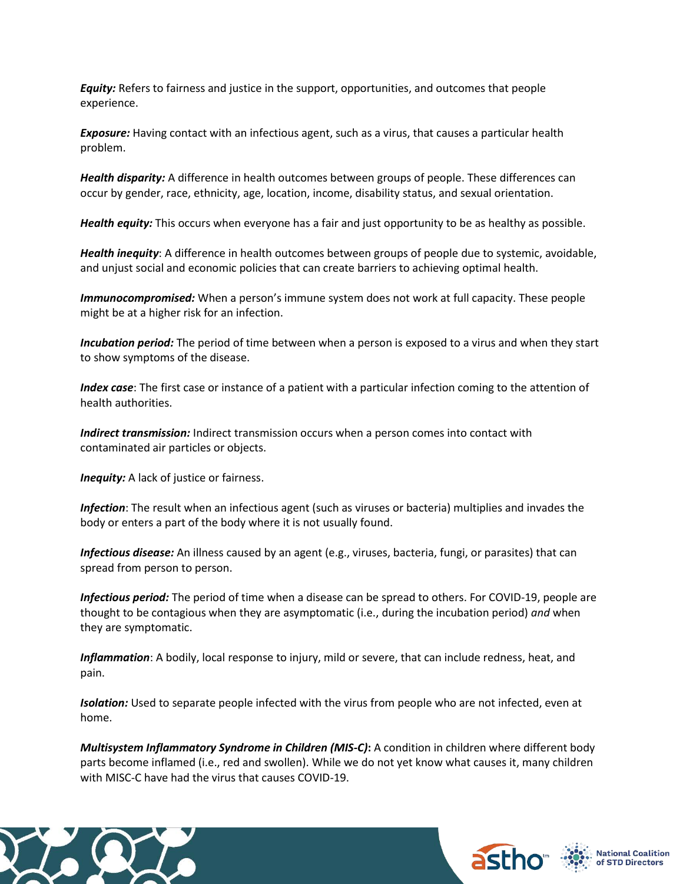*Equity:* Refers to fairness and justice in the support, opportunities, and outcomes that people experience.

*Exposure:* Having contact with an infectious agent, such as a virus, that causes a particular health problem.

*Health disparity:* A difference in health outcomes between groups of people. These differences can occur by gender, race, ethnicity, age, location, income, disability status, and sexual orientation.

*Health equity:* This occurs when everyone has a fair and just opportunity to be as healthy as possible.

*Health inequity*: A difference in health outcomes between groups of people due to systemic, avoidable, and unjust social and economic policies that can create barriers to achieving optimal health.

*Immunocompromised:* When a person's immune system does not work at full capacity. These people might be at a higher risk for an infection.

*Incubation period:* The period of time between when a person is exposed to a virus and when they start to show symptoms of the disease.

*Index case*: The first case or instance of a patient with a particular infection coming to the attention of health authorities.

*Indirect transmission:* Indirect transmission occurs when a person comes into contact with contaminated air particles or objects.

**Inequity:** A lack of justice or fairness.

*Infection*: The result when an infectious agent (such as viruses or bacteria) multiplies and invades the body or enters a part of the body where it is not usually found.

*Infectious disease:* An illness caused by an agent (e.g., viruses, bacteria, fungi, or parasites) that can spread from person to person.

*Infectious period:* The period of time when a disease can be spread to others. For COVID-19, people are thought to be contagious when they are asymptomatic (i.e., during the incubation period) *and* when they are symptomatic.

*Inflammation*: A bodily, local response to injury, mild or severe, that can include redness, heat, and pain.

*Isolation:* Used to separate people infected with the virus from people who are not infected, even at home.

*Multisystem Inflammatory Syndrome in Children (MIS-C)***:** A condition in children where different body parts become inflamed (i.e., red and swollen). While we do not yet know what causes it, many children with MISC-C have had the virus that causes COVID-19.





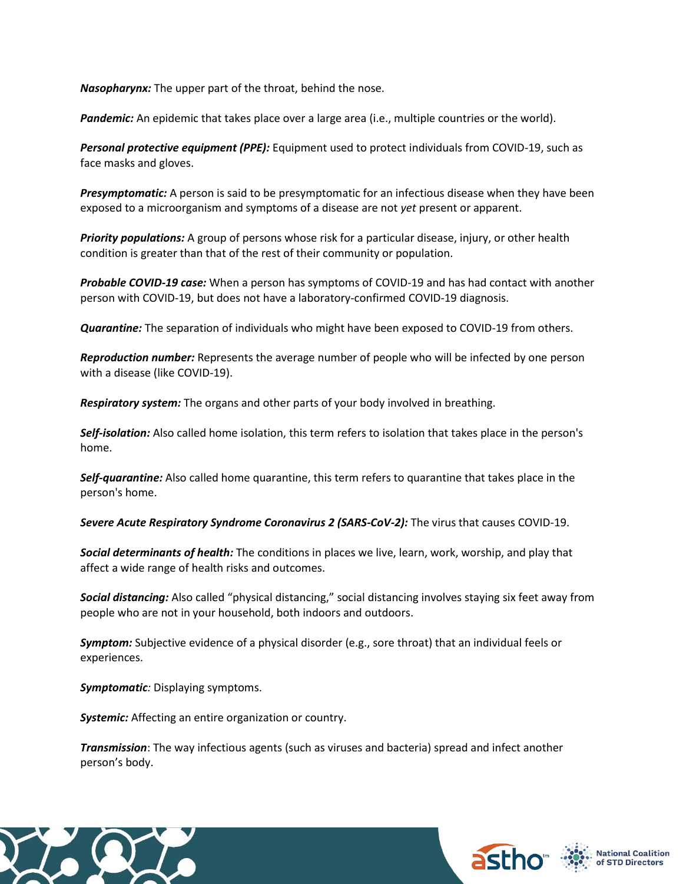*Nasopharynx:* The upper part of the throat, behind the nose.

Pandemic: An epidemic that takes place over a large area (i.e., multiple countries or the world).

*Personal protective equipment (PPE):* Equipment used to protect individuals from COVID-19, such as face masks and gloves.

*Presymptomatic:* A person is said to be presymptomatic for an infectious disease when they have been exposed to a microorganism and symptoms of a disease are not *yet* present or apparent.

*Priority populations:* A group of persons whose risk for a particular disease, injury, or other health condition is greater than that of the rest of their community or population.

*Probable COVID-19 case:* When a person has symptoms of COVID-19 and has had contact with another person with COVID-19, but does not have a laboratory-confirmed COVID-19 diagnosis.

*Quarantine:* The separation of individuals who might have been exposed to COVID-19 from others.

*Reproduction number:* Represents the average number of people who will be infected by one person with a disease (like COVID-19).

*Respiratory system:* The organs and other parts of your body involved in breathing.

*Self-isolation:* Also called home isolation, this term refers to isolation that takes place in the person's home.

*Self-quarantine:* Also called home quarantine, this term refers to quarantine that takes place in the person's home.

*Severe Acute Respiratory Syndrome Coronavirus 2 (SARS-CoV-2):* The virus that causes COVID-19.

*Social determinants of health:* The conditions in places we live, learn, work, worship, and play that affect a wide range of health risks and outcomes.

*Social distancing:* Also called "physical distancing," social distancing involves staying six feet away from people who are not in your household, both indoors and outdoors.

*Symptom:* Subjective evidence of a physical disorder (e.g., sore throat) that an individual feels or experiences.

*Symptomatic:* Displaying symptoms.

*Systemic:* Affecting an entire organization or country.

*Transmission*: The way infectious agents (such as viruses and bacteria) spread and infect another person's body.